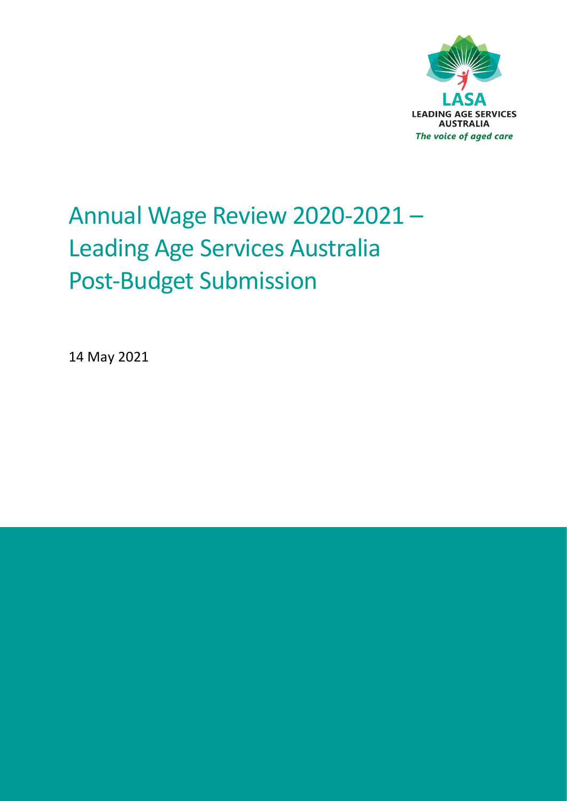

# Annual Wage Review 2020-2021 – Leading Age Services Australia Post-Budget Submission

14 May 2021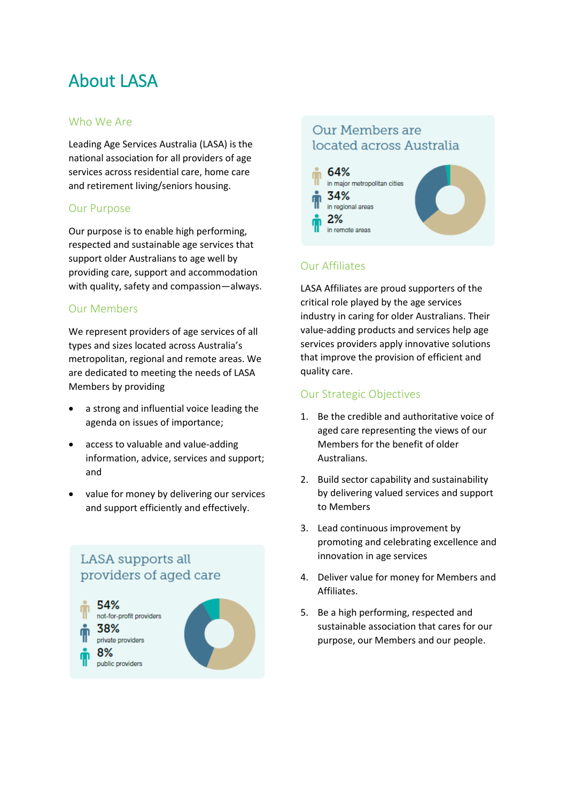# About LASA

#### Who We Are

Leading Age Services Australia (LASA) is the national association for all providers of age services across residential care, home care and retirement living/seniors housing.

#### Our Purpose

Our purpose is to enable high performing, respected and sustainable age services that support older Australians to age well by providing care, support and accommodation with quality, safety and compassion—always.

#### Our Members

We represent providers of age services of all types and sizes located across Australia's metropolitan, regional and remote areas. We are dedicated to meeting the needs of LASA Members by providing

- a strong and influential voice leading the agenda on issues of importance;
- access to valuable and value-adding information, advice, services and support; and
- value for money by delivering our services and support efficiently and effectively.

#### **LASA** supports all providers of aged care



#### Our Members are located across Australia



#### Our Affiliates

LASA Affiliates are proud supporters of the critical role played by the age services industry in caring for older Australians. Their value-adding products and services help age services providers apply innovative solutions that improve the provision of efficient and quality care.

#### Our Strategic Objectives

- 1. Be the credible and authoritative voice of aged care representing the views of our Members for the benefit of older Australians.
- 2. Build sector capability and sustainability by delivering valued services and support to Members
- 3. Lead continuous improvement by promoting and celebrating excellence and innovation in age services
- 4. Deliver value for money for Members and Affiliates.
- 5. Be a high performing, respected and sustainable association that cares for our purpose, our Members and our people.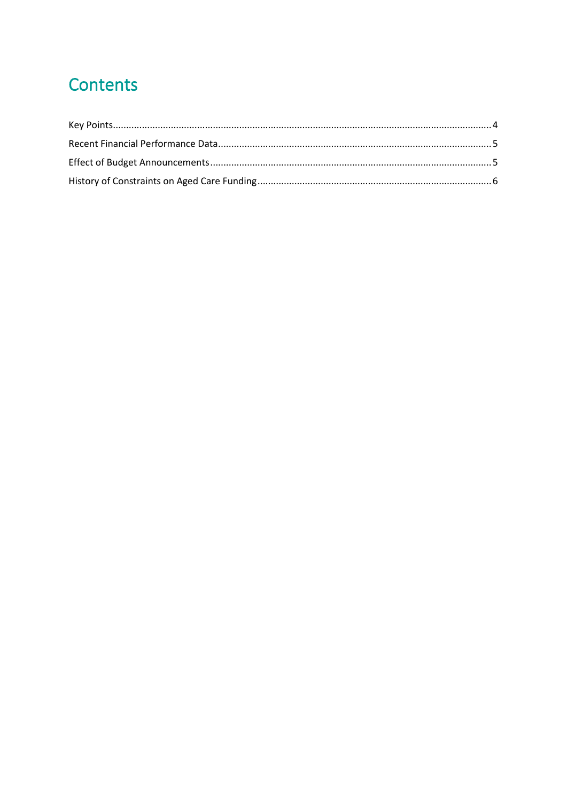# Contents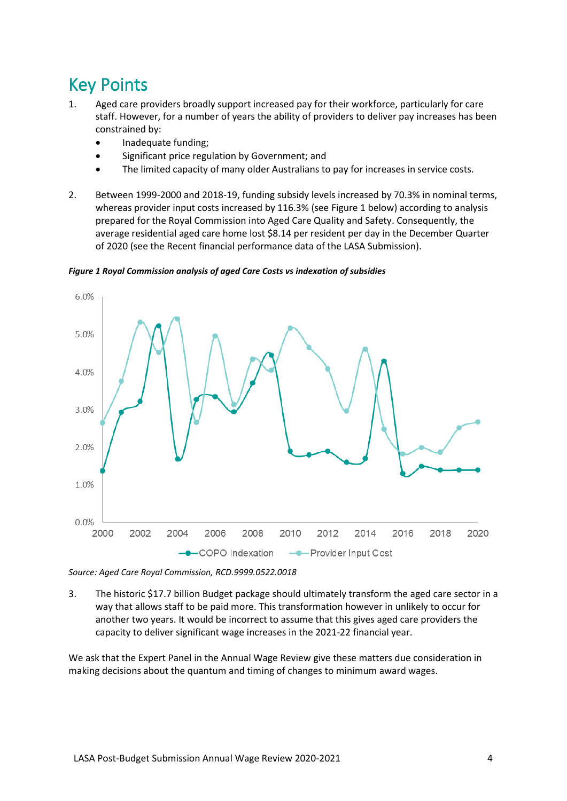### <span id="page-3-0"></span>Key Points

- 1. Aged care providers broadly support increased pay for their workforce, particularly for care staff. However, for a number of years the ability of providers to deliver pay increases has been constrained by:
	- Inadequate funding;
	- Significant price regulation by Government; and
	- The limited capacity of many older Australians to pay for increases in service costs.
- 2. Between 1999-2000 and 2018-19, funding subsidy levels increased by 70.3% in nominal terms, whereas provider input costs increased by 116.3% (see Figure 1 below) according to analysis prepared for the Royal Commission into Aged Care Quality and Safety. Consequently, the average residential aged care home lost \$8.14 per resident per day in the December Quarter of 2020 (see the Recent financial performance data of the LASA Submission).



*Figure 1 Royal Commission analysis of aged Care Costs vs indexation of subsidies*

*Source: Aged Care Royal Commission, RCD.9999.0522.0018*

3. The historic \$17.7 billion Budget package should ultimately transform the aged care sector in a way that allows staff to be paid more. This transformation however in unlikely to occur for another two years. It would be incorrect to assume that this gives aged care providers the capacity to deliver significant wage increases in the 2021-22 financial year.

We ask that the Expert Panel in the Annual Wage Review give these matters due consideration in making decisions about the quantum and timing of changes to minimum award wages.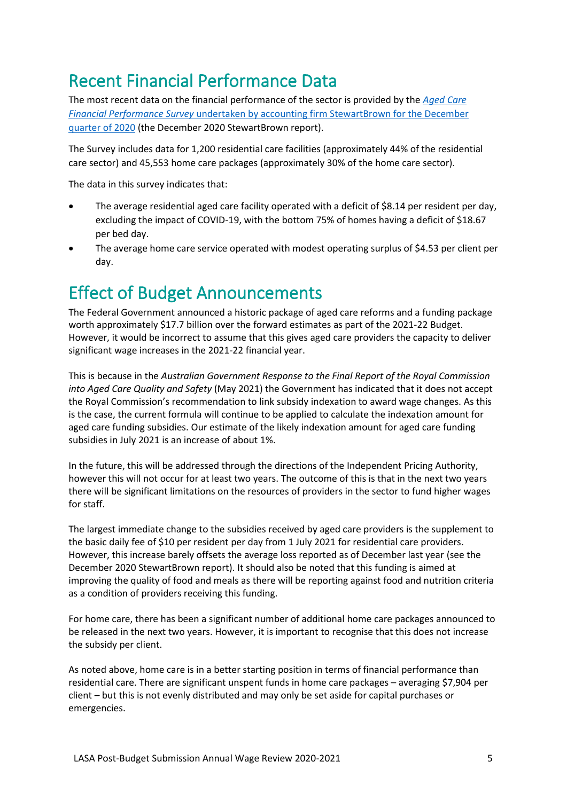### <span id="page-4-0"></span>Recent Financial Performance Data

The most recent data on the financial performance of the sector is provided by the *[Aged Care](https://www.stewartbrown.com.au/images/documents/StewartBrown_-_ACFPS_Financial_Performance_Sector_Report_December_2020.pdf)  Financial Performance Survey* [undertaken by accounting firm StewartBrown for the December](https://www.stewartbrown.com.au/images/documents/StewartBrown_-_ACFPS_Financial_Performance_Sector_Report_December_2020.pdf)  [quarter of 2020](https://www.stewartbrown.com.au/images/documents/StewartBrown_-_ACFPS_Financial_Performance_Sector_Report_December_2020.pdf) (the December 2020 StewartBrown report).

The Survey includes data for 1,200 residential care facilities (approximately 44% of the residential care sector) and 45,553 home care packages (approximately 30% of the home care sector).

The data in this survey indicates that:

- The average residential aged care facility operated with a deficit of \$8.14 per resident per day, excluding the impact of COVID-19, with the bottom 75% of homes having a deficit of \$18.67 per bed day.
- The average home care service operated with modest operating surplus of \$4.53 per client per day.

### <span id="page-4-1"></span>Effect of Budget Announcements

The Federal Government announced a historic package of aged care reforms and a funding package worth approximately \$17.7 billion over the forward estimates as part of the 2021-22 Budget. However, it would be incorrect to assume that this gives aged care providers the capacity to deliver significant wage increases in the 2021-22 financial year.

This is because in the *Australian Government Response to the Final Report of the Royal Commission into Aged Care Quality and Safety* (May 2021) the Government has indicated that it does not accept the Royal Commission's recommendation to link subsidy indexation to award wage changes. As this is the case, the current formula will continue to be applied to calculate the indexation amount for aged care funding subsidies. Our estimate of the likely indexation amount for aged care funding subsidies in July 2021 is an increase of about 1%.

In the future, this will be addressed through the directions of the Independent Pricing Authority, however this will not occur for at least two years. The outcome of this is that in the next two years there will be significant limitations on the resources of providers in the sector to fund higher wages for staff.

The largest immediate change to the subsidies received by aged care providers is the supplement to the basic daily fee of \$10 per resident per day from 1 July 2021 for residential care providers. However, this increase barely offsets the average loss reported as of December last year (see the December 2020 StewartBrown report). It should also be noted that this funding is aimed at improving the quality of food and meals as there will be reporting against food and nutrition criteria as a condition of providers receiving this funding.

For home care, there has been a significant number of additional home care packages announced to be released in the next two years. However, it is important to recognise that this does not increase the subsidy per client.

As noted above, home care is in a better starting position in terms of financial performance than residential care. There are significant unspent funds in home care packages – averaging \$7,904 per client – but this is not evenly distributed and may only be set aside for capital purchases or emergencies.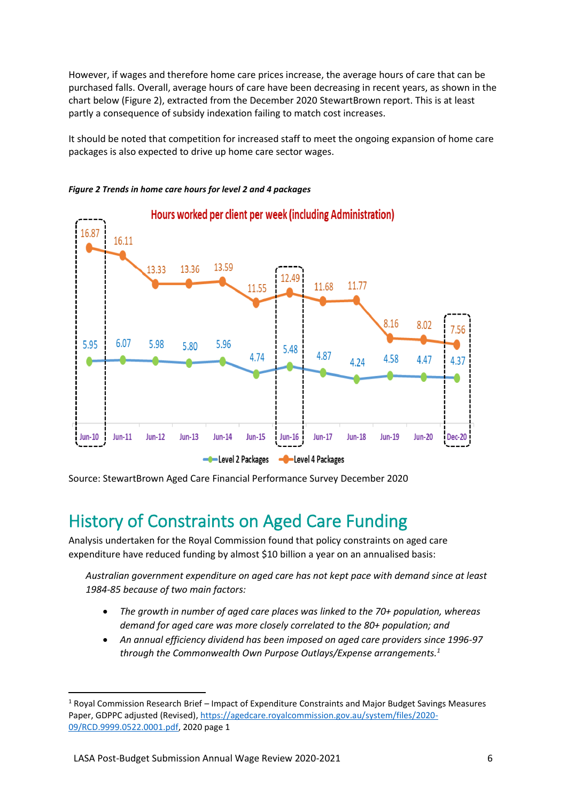However, if wages and therefore home care prices increase, the average hours of care that can be purchased falls. Overall, average hours of care have been decreasing in recent years, as shown in the chart below (Figure 2), extracted from the December 2020 StewartBrown report. This is at least partly a consequence of subsidy indexation failing to match cost increases.

It should be noted that competition for increased staff to meet the ongoing expansion of home care packages is also expected to drive up home care sector wages.



*Figure 2 Trends in home care hours for level 2 and 4 packages*

Source: StewartBrown Aged Care Financial Performance Survey December 2020

## <span id="page-5-0"></span>History of Constraints on Aged Care Funding

Analysis undertaken for the Royal Commission found that policy constraints on aged care expenditure have reduced funding by almost \$10 billion a year on an annualised basis:

*Australian government expenditure on aged care has not kept pace with demand since at least 1984-85 because of two main factors:*

- *The growth in number of aged care places was linked to the 70+ population, whereas demand for aged care was more closely correlated to the 80+ population; and*
- *An annual efficiency dividend has been imposed on aged care providers since 1996-97 through the Commonwealth Own Purpose Outlays/Expense arrangements.<sup>1</sup>*

 $1$  Royal Commission Research Brief – Impact of Expenditure Constraints and Major Budget Savings Measures Paper, GDPPC adjusted (Revised)[, https://agedcare.royalcommission.gov.au/system/files/2020-](https://agedcare.royalcommission.gov.au/system/files/2020-09/RCD.9999.0522.0001.pdf) [09/RCD.9999.0522.0001.pdf,](https://agedcare.royalcommission.gov.au/system/files/2020-09/RCD.9999.0522.0001.pdf) 2020 page 1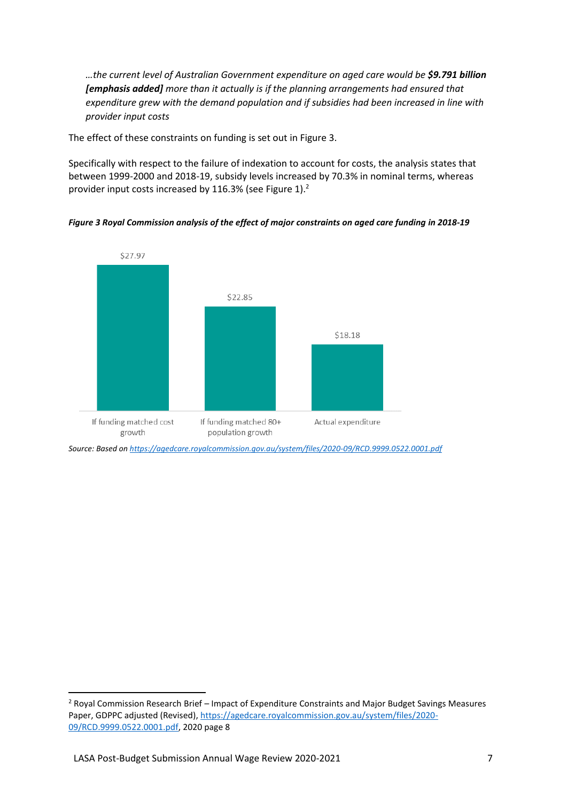*…the current level of Australian Government expenditure on aged care would be \$9.791 billion [emphasis added] more than it actually is if the planning arrangements had ensured that expenditure grew with the demand population and if subsidies had been increased in line with provider input costs*

The effect of these constraints on funding is set out in Figure 3.

Specifically with respect to the failure of indexation to account for costs, the analysis states that between 1999-2000 and 2018-19, subsidy levels increased by 70.3% in nominal terms, whereas provider input costs increased by 116.3% (see Figure 1).<sup>2</sup>

*Figure 3 Royal Commission analysis of the effect of major constraints on aged care funding in 2018-19*



*Source: Based o[n https://agedcare.royalcommission.gov.au/system/files/2020-09/RCD.9999.0522.0001.pdf](https://agedcare.royalcommission.gov.au/system/files/2020-09/RCD.9999.0522.0001.pdf)*

<sup>&</sup>lt;sup>2</sup> Royal Commission Research Brief – Impact of Expenditure Constraints and Major Budget Savings Measures Paper, GDPPC adjusted (Revised)[, https://agedcare.royalcommission.gov.au/system/files/2020-](https://agedcare.royalcommission.gov.au/system/files/2020-09/RCD.9999.0522.0001.pdf) [09/RCD.9999.0522.0001.pdf,](https://agedcare.royalcommission.gov.au/system/files/2020-09/RCD.9999.0522.0001.pdf) 2020 page 8